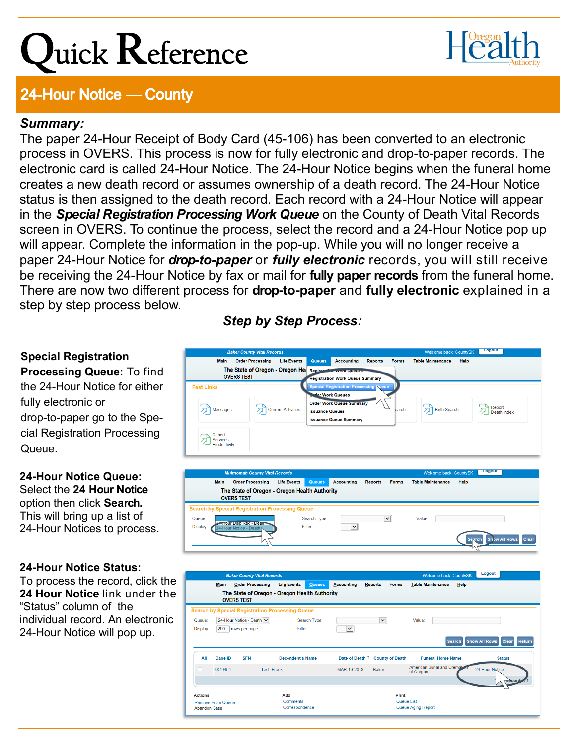# ${\bf Q}$ uick  ${\bf R}$ eference



## **24-Hour Notice — County**

### *Summary:*

The paper 24-Hour Receipt of Body Card (45-106) has been converted to an electronic process in OVERS. This process is now for fully electronic and drop-to-paper records. The electronic card is called 24-Hour Notice. The 24-Hour Notice begins when the funeral home creates a new death record or assumes ownership of a death record. The 24-Hour Notice status is then assigned to the death record. Each record with a 24-Hour Notice will appear in the *Special Registration Processing Work Queue* on the County of Death Vital Records screen in OVERS. To continue the process, select the record and a 24-Hour Notice pop up will appear. Complete the information in the pop-up. While you will no longer receive a paper 24-Hour Notice for *drop-to-paper* or *fully electronic* records, you will still receive be receiving the 24-Hour Notice by fax or mail for **fully paper records** from the funeral home. There are now two different process for **drop-to-paper** and **fully electronic** explained in a step by step process below.

#### **Special Registration**

**Processing Queue:** To find the 24-Hour Notice for either fully electronic or drop-to-paper go to the Special Registration Processing Queue.

#### **24-Hour Notice Queue:** Select the **24 Hour Notice**  option then click **Search.** This will bring up a list of 24-Hour Notices to process.

#### **24-Hour Notice Status:**

To process the record, click the **24 Hour Notice** link under the "Status" column of the individual record. An electronic 24-Hour Notice will pop up.

## *Step by Step Process:*



|                                                       |                                                        |                | <b>OVERS TEST</b>                          |                    | The State of Oregon - Oregon Health Authority |                 |                        |                                                   |                |  |  |
|-------------------------------------------------------|--------------------------------------------------------|----------------|--------------------------------------------|--------------------|-----------------------------------------------|-----------------|------------------------|---------------------------------------------------|----------------|--|--|
|                                                       | <b>Search by Special Registration Processing Queue</b> |                |                                            |                    |                                               |                 |                        |                                                   |                |  |  |
|                                                       | Queue:<br><b>Display</b>                               | 200            | 24-Hour Notice - Death V<br>rows per page. |                    | Search Type:<br>Filter:                       | M               | $\checkmark$           | Value:                                            |                |  |  |
| <b>Show All Rows</b><br><b>Clear</b><br><b>Search</b> |                                                        |                |                                            |                    |                                               |                 |                        |                                                   | <b>Return</b>  |  |  |
|                                                       | All                                                    | <b>Case ID</b> | <b>SFN</b>                                 |                    | <b>Decendent's Name</b>                       | Date of Death 1 | <b>County of Death</b> | <b>Funeral Home Name</b>                          | <b>Status</b>  |  |  |
|                                                       |                                                        | 6879454        |                                            | <b>Test, Frank</b> |                                               | MAR-19-2018     | <b>Baker</b>           | <b>American Burial and Cremation</b><br>of Oregon | 24-Hour Notice |  |  |
|                                                       |                                                        |                |                                            |                    |                                               |                 |                        |                                                   | mecords        |  |  |
|                                                       | <b>Actions</b>                                         |                |                                            | Add                |                                               |                 | Print                  |                                                   |                |  |  |
|                                                       | Remove From Queue<br><b>Abandon Case</b>               |                |                                            | <b>Comments</b>    | Correspondence                                |                 |                        | Queue List<br>Queue Aging Report                  |                |  |  |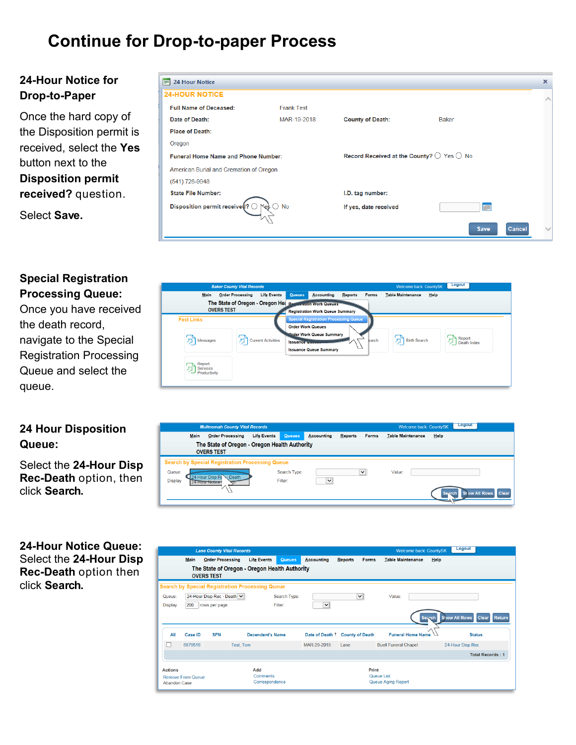## **Continue for Drop-to-paper Process**

#### **24-Hour Notice for Drop-to-Paper**

Once the hard copy of the Disposition permit is received, select the **Yes** button next to the **Disposition permit received?** question.

Select **Save.**

| $\equiv$ 24 Hour Notice                 |                           |                                                             |              | ×      |
|-----------------------------------------|---------------------------|-------------------------------------------------------------|--------------|--------|
| <b>24-HOUR NOTICE</b>                   |                           |                                                             |              |        |
| <b>Full Name of Deceased:</b>           | <b>Frank Test</b>         |                                                             |              |        |
| Date of Death:                          | MAR-19-2018               | <b>County of Death:</b>                                     | <b>Baker</b> |        |
| <b>Place of Death:</b>                  |                           |                                                             |              |        |
| Oregon                                  |                           |                                                             |              |        |
| Funeral Home Name and Phone Number:     |                           | Record Received at the County? $\bigcirc$ Yes $\bigcirc$ No |              |        |
| American Burial and Cremation of Oregon |                           |                                                             |              |        |
| (541) 726-9948                          |                           |                                                             |              |        |
| <b>State File Number:</b>               |                           | I.D. tag number:                                            |              |        |
| Disposition permit receive $($ 9)       | $\bigcirc$ No<br>$\aleph$ | If yes, date received                                       | <b>TILL</b>  |        |
|                                         |                           |                                                             |              |        |
|                                         |                           |                                                             | <b>Save</b>  | Cancel |

#### **Special Registration Processing Queue:**

Once you have received the death record, navigate to the Special Registration Processing Queue and select the queue.

#### **24 Hour Disposition Queue:**

Select the **24-Hour Disp Rec-Death** option, then click **Search.**

#### **24-Hour Notice Queue:** Select the **24-Hour Disp Rec-Death** option then click **Search.**

| <b>Baker County Vital Records</b>                                              |                           |                                                    |                                                                                                                  |         |              | Welcome back: CountySK   | Logout                 |
|--------------------------------------------------------------------------------|---------------------------|----------------------------------------------------|------------------------------------------------------------------------------------------------------------------|---------|--------------|--------------------------|------------------------|
| <b>Order Processing</b><br>Main                                                | <b>Life Events</b>        | <b>Queues</b>                                      | <b>Accounting</b>                                                                                                | Reports | <b>Forms</b> | <b>Table Maintenance</b> | Help                   |
| The State of Oregon - Oregon Het Registration Work Queues<br><b>OVERS TEST</b> |                           |                                                    | <b>Registration Work Queue Summary</b>                                                                           |         |              |                          |                        |
| <b>Fast Links</b><br>Messages                                                  | <b>Current Activities</b> | <b>Order Work Queues</b><br><b>Issuance Galler</b> | <b>Special Registration Processing Queue</b><br><b>Order Work Queue Summary</b><br><b>Issuance Queue Summary</b> |         | earch        | <b>Birth Search</b>      | Report:<br>Death Index |
| Report:<br>Services<br>Productivity                                            |                           |                                                    |                                                                                                                  |         |              |                          |                        |

|                          | <b>Multnomah County Vital Records</b>                              |                    |                         |                   |                |              | Welcome back: CountySK   | <b>Logout</b> |                                      |  |
|--------------------------|--------------------------------------------------------------------|--------------------|-------------------------|-------------------|----------------|--------------|--------------------------|---------------|--------------------------------------|--|
| <b>Main</b>              | <b>Order Processing</b>                                            | <b>Life Events</b> | <b>Queues</b>           | <b>Accounting</b> | <b>Reports</b> | <b>Forms</b> | <b>Table Maintenance</b> | Help          |                                      |  |
|                          | The State of Oregon - Oregon Health Authority<br><b>OVERS TEST</b> |                    |                         |                   |                |              |                          |               |                                      |  |
|                          | <b>Search by Special Registration Processing Queue</b>             |                    |                         |                   |                |              |                          |               |                                      |  |
| Queue:<br><b>Display</b> | 4-Hour Disp R<br>Death<br><b>Flour Notice</b>                      |                    | Search Type:<br>Filter: | $\checkmark$      |                | $\checkmark$ | Value:                   |               |                                      |  |
|                          |                                                                    |                    |                         |                   |                |              |                          |               | <b>Clear</b><br><b>Show All Rows</b> |  |

|                       |                          | <b>Lane County Vital Records</b> |                                                        |               |                   |                                | Welcome back: CountySK           | Logout                                         |
|-----------------------|--------------------------|----------------------------------|--------------------------------------------------------|---------------|-------------------|--------------------------------|----------------------------------|------------------------------------------------|
|                       | <b>Main</b>              | <b>Order Processing</b>          | <b>Life Events</b>                                     | <b>Queues</b> | <b>Accounting</b> | <b>Forms</b><br><b>Reports</b> | <b>Table Maintenance</b><br>Help |                                                |
|                       |                          | <b>OVERS TEST</b>                | The State of Oregon - Oregon Health Authority          |               |                   |                                |                                  |                                                |
|                       |                          |                                  | <b>Search by Special Registration Processing Queue</b> |               |                   |                                |                                  |                                                |
| Queue:                |                          | 24-Hour Disp Rec - Death V       |                                                        | Search Type:  |                   | ×                              | Value:                           |                                                |
| <b>Display</b>        | 200                      | rows per page.                   |                                                        | Filter:       | $\checkmark$      |                                |                                  |                                                |
|                       |                          |                                  |                                                        |               |                   |                                | Search                           | Show All Rows<br><b>Clear</b><br><b>Return</b> |
| All                   | <b>Case ID</b>           | <b>SFN</b>                       | <b>Decendent's Name</b>                                |               | Date of Death 1   | <b>County of Death</b>         | <b>Funeral Home Name</b>         | <b>Status</b>                                  |
|                       | 6879516                  |                                  | Test, Tom                                              |               | MAR-29-2018       | Lane                           | <b>Buell Funeral Chapel</b>      | 24-Hour Disp Rec                               |
|                       |                          |                                  |                                                        |               |                   |                                |                                  | <b>Total Records: 1</b>                        |
| <b>Actions</b><br>Add |                          |                                  |                                                        |               | Print             |                                |                                  |                                                |
| <b>Abandon Case</b>   | <b>Remove From Queue</b> |                                  | <b>Comments</b><br>Correspondence                      |               |                   |                                | Queue List<br>Queue Aging Report |                                                |